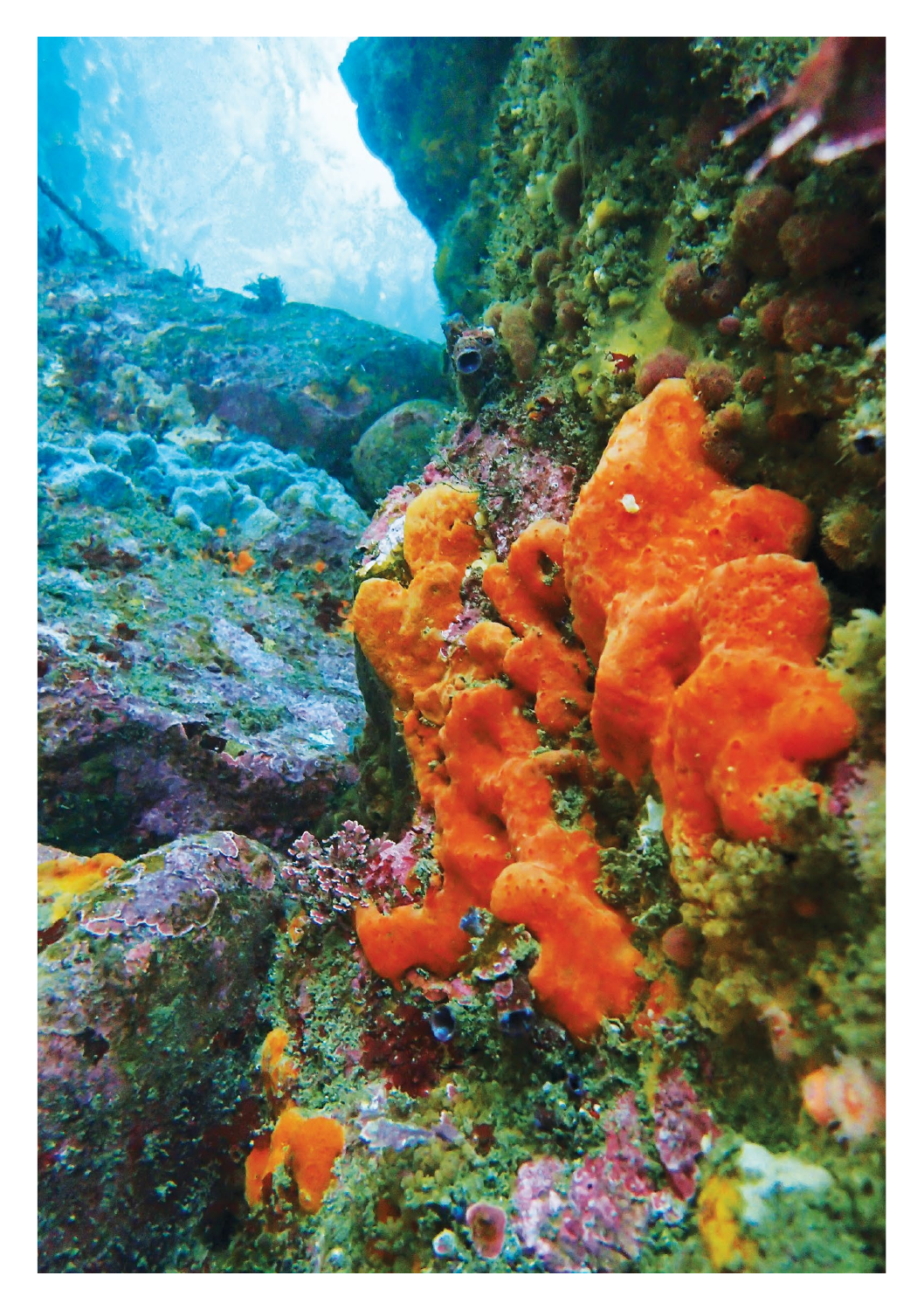